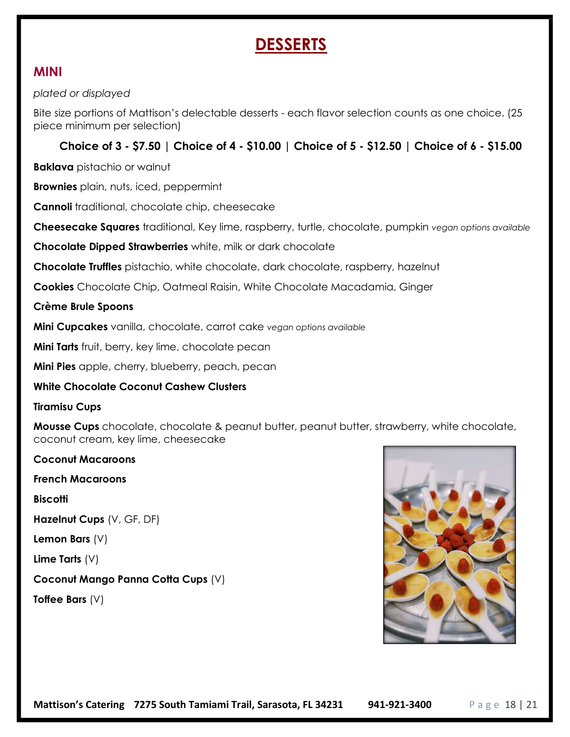# **DESSERTS**

### MINI

#### plated or displayed

Bite size portions of Mattison's delectable desserts - each flavor selection counts as one choice. (25 piece minimum per selection)

#### Choice of 3 - \$7.50 | Choice of 4 - \$10.00 | Choice of 5 - \$12.50 | Choice of 6 - \$15.00

Baklava pistachio or walnut

**Brownies** plain, nuts, iced, peppermint

Cannoli traditional, chocolate chip, cheesecake

Cheesecake Squares traditional, Key lime, raspberry, turtle, chocolate, pumpkin vegan options available

Chocolate Dipped Strawberries white, milk or dark chocolate

Chocolate Truffles pistachio, white chocolate, dark chocolate, raspberry, hazelnut

Cookies Chocolate Chip, Oatmeal Raisin, White Chocolate Macadamia, Ginger

#### Crème Brule Spoons

Mini Cupcakes vanilla, chocolate, carrot cake vegan options available

**Mini Tarts** fruit, berry, key lime, chocolate pecan

Mini Pies apple, cherry, blueberry, peach, pecan

#### White Chocolate Coconut Cashew Clusters

#### Tiramisu Cups

**Mousse Cups** chocolate, chocolate & peanut butter, peanut butter, strawberry, white chocolate, coconut cream, key lime, cheesecake

Coconut Macaroons French Macaroons **Biscotti** Hazelnut Cups (V, GF, DF) Lemon Bars (V) Lime Tarts  $(V)$ Coconut Mango Panna Cotta Cups (V) Toffee Bars (V)

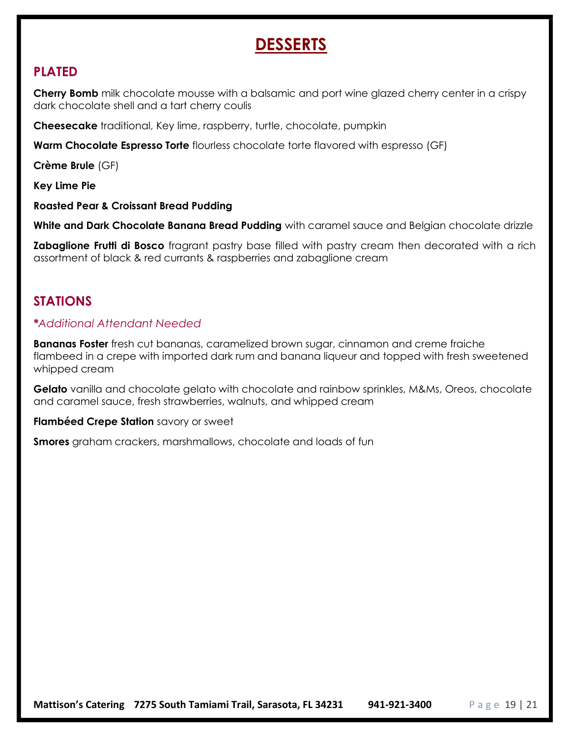# **DESSERTS**

## PLATED

**Cherry Bomb** milk chocolate mousse with a balsamic and port wine glazed cherry center in a crispy dark chocolate shell and a tart cherry coulis

Cheesecake traditional, Key lime, raspberry, turtle, chocolate, pumpkin

Warm Chocolate Espresso Torte flourless chocolate torte flavored with espresso (GF)

Crème Brule (GF)

Key Lime Pie

Roasted Pear & Croissant Bread Pudding

White and Dark Chocolate Banana Bread Pudding with caramel sauce and Belgian chocolate drizzle

**Zabaglione Frutti di Bosco** fragrant pastry base filled with pastry cream then decorated with a rich assortment of black & red currants & raspberries and zabaglione cream

## STATIONS

### \*Additional Attendant Needed

**Bananas Foster** fresh cut bananas, caramelized brown sugar, cinnamon and creme fraiche flambeed in a crepe with imported dark rum and banana liqueur and topped with fresh sweetened whipped cream

Gelato vanilla and chocolate gelato with chocolate and rainbow sprinkles, M&Ms, Oreos, chocolate and caramel sauce, fresh strawberries, walnuts, and whipped cream

Flambéed Crepe Station savory or sweet

**Smores** graham crackers, marshmallows, chocolate and loads of fun